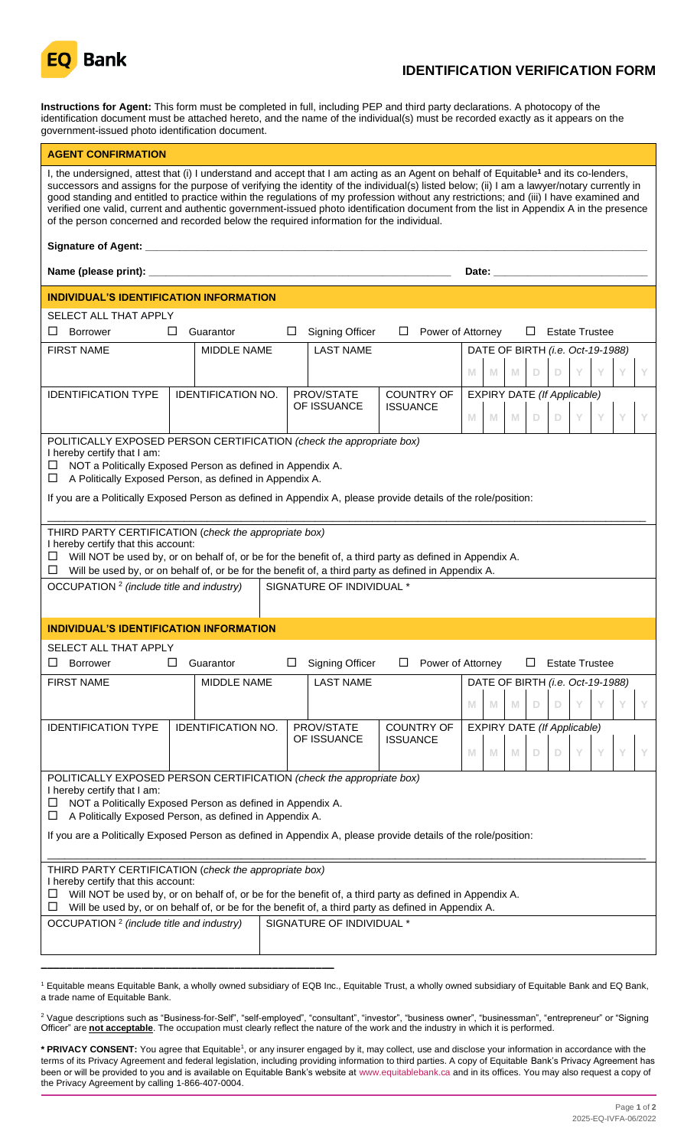

# **IDENTIFICATION VERIFICATION FORM**

**Instructions for Agent:** This form must be completed in full, including PEP and third party declarations. A photocopy of the identification document must be attached hereto, and the name of the individual(s) must be recorded exactly as it appears on the government-issued photo identification document.

| <b>AGENT CONFIRMATION</b>                                                                                                                                                                                                                                                                                                                                                                                                                                                                                                                                                                                                                                                    |        |                           |  |                                                                                                                                                                                                                                |                        |                 |                   |   |   |    |             |                                    |  |  |  |
|------------------------------------------------------------------------------------------------------------------------------------------------------------------------------------------------------------------------------------------------------------------------------------------------------------------------------------------------------------------------------------------------------------------------------------------------------------------------------------------------------------------------------------------------------------------------------------------------------------------------------------------------------------------------------|--------|---------------------------|--|--------------------------------------------------------------------------------------------------------------------------------------------------------------------------------------------------------------------------------|------------------------|-----------------|-------------------|---|---|----|-------------|------------------------------------|--|--|--|
| I, the undersigned, attest that (i) I understand and accept that I am acting as an Agent on behalf of Equitable <sup>1</sup> and its co-lenders,<br>successors and assigns for the purpose of verifying the identity of the individual(s) listed below; (ii) I am a lawyer/notary currently in<br>good standing and entitled to practice within the regulations of my profession without any restrictions; and (iii) I have examined and<br>verified one valid, current and authentic government-issued photo identification document from the list in Appendix A in the presence<br>of the person concerned and recorded below the required information for the individual. |        |                           |  |                                                                                                                                                                                                                                |                        |                 |                   |   |   |    |             |                                    |  |  |  |
|                                                                                                                                                                                                                                                                                                                                                                                                                                                                                                                                                                                                                                                                              |        |                           |  |                                                                                                                                                                                                                                |                        |                 |                   |   |   |    |             |                                    |  |  |  |
|                                                                                                                                                                                                                                                                                                                                                                                                                                                                                                                                                                                                                                                                              |        |                           |  | Date: the contract of the contract of the contract of the contract of the contract of the contract of the contract of the contract of the contract of the contract of the contract of the contract of the contract of the cont |                        |                 |                   |   |   |    |             |                                    |  |  |  |
| INDIVIDUAL'S IDENTIFICATION INFORMATION                                                                                                                                                                                                                                                                                                                                                                                                                                                                                                                                                                                                                                      |        |                           |  |                                                                                                                                                                                                                                |                        |                 |                   |   |   |    |             |                                    |  |  |  |
| SELECT ALL THAT APPLY                                                                                                                                                                                                                                                                                                                                                                                                                                                                                                                                                                                                                                                        |        |                           |  |                                                                                                                                                                                                                                |                        |                 |                   |   |   |    |             |                                    |  |  |  |
| $\Box$<br>Borrower                                                                                                                                                                                                                                                                                                                                                                                                                                                                                                                                                                                                                                                           | $\Box$ | Guarantor                 |  | ப                                                                                                                                                                                                                              | <b>Signing Officer</b> | $\Box$          | Power of Attorney |   |   |    | $\Box$      | <b>Estate Trustee</b>              |  |  |  |
| <b>FIRST NAME</b>                                                                                                                                                                                                                                                                                                                                                                                                                                                                                                                                                                                                                                                            |        | <b>MIDDLE NAME</b>        |  |                                                                                                                                                                                                                                | <b>LAST NAME</b>       |                 |                   |   |   |    |             | DATE OF BIRTH (i.e. Oct-19-1988)   |  |  |  |
|                                                                                                                                                                                                                                                                                                                                                                                                                                                                                                                                                                                                                                                                              |        |                           |  |                                                                                                                                                                                                                                |                        |                 |                   | M | M | M  | $\mathbb D$ | Y<br>$\Box$                        |  |  |  |
| <b>IDENTIFICATION TYPE</b>                                                                                                                                                                                                                                                                                                                                                                                                                                                                                                                                                                                                                                                   |        | <b>IDENTIFICATION NO.</b> |  |                                                                                                                                                                                                                                | PROV/STATE             |                 | <b>COUNTRY OF</b> |   |   |    |             | <b>EXPIRY DATE (If Applicable)</b> |  |  |  |
|                                                                                                                                                                                                                                                                                                                                                                                                                                                                                                                                                                                                                                                                              |        |                           |  |                                                                                                                                                                                                                                | OF ISSUANCE            | <b>ISSUANCE</b> |                   | M | M | M  | D           | Y<br>$\mathbb D$                   |  |  |  |
| POLITICALLY EXPOSED PERSON CERTIFICATION (check the appropriate box)<br>I hereby certify that I am:<br>$\Box$ NOT a Politically Exposed Person as defined in Appendix A.<br>$\Box$ A Politically Exposed Person, as defined in Appendix A.<br>If you are a Politically Exposed Person as defined in Appendix A, please provide details of the role/position:                                                                                                                                                                                                                                                                                                                 |        |                           |  |                                                                                                                                                                                                                                |                        |                 |                   |   |   |    |             |                                    |  |  |  |
| THIRD PARTY CERTIFICATION (check the appropriate box)<br>I hereby certify that this account:<br>Will NOT be used by, or on behalf of, or be for the benefit of, a third party as defined in Appendix A.<br>ப<br>$\Box$ Will be used by, or on behalf of, or be for the benefit of, a third party as defined in Appendix A.<br>OCCUPATION <sup>2</sup> (include title and industry)<br>SIGNATURE OF INDIVIDUAL *                                                                                                                                                                                                                                                              |        |                           |  |                                                                                                                                                                                                                                |                        |                 |                   |   |   |    |             |                                    |  |  |  |
|                                                                                                                                                                                                                                                                                                                                                                                                                                                                                                                                                                                                                                                                              |        |                           |  |                                                                                                                                                                                                                                |                        |                 |                   |   |   |    |             |                                    |  |  |  |
| INDIVIDUAL'S IDENTIFICATION INFORMATION                                                                                                                                                                                                                                                                                                                                                                                                                                                                                                                                                                                                                                      |        |                           |  |                                                                                                                                                                                                                                |                        |                 |                   |   |   |    |             |                                    |  |  |  |
| SELECT ALL THAT APPLY                                                                                                                                                                                                                                                                                                                                                                                                                                                                                                                                                                                                                                                        |        |                           |  |                                                                                                                                                                                                                                |                        |                 |                   |   |   |    |             |                                    |  |  |  |
| <b>Borrower</b><br>ட                                                                                                                                                                                                                                                                                                                                                                                                                                                                                                                                                                                                                                                         | ш      | Guarantor                 |  | ப                                                                                                                                                                                                                              | <b>Signing Officer</b> | ⊔               | Power of Attorney |   |   |    | ⊔           | <b>Estate Trustee</b>              |  |  |  |
| <b>FIRST NAME</b>                                                                                                                                                                                                                                                                                                                                                                                                                                                                                                                                                                                                                                                            |        | <b>MIDDLE NAME</b>        |  |                                                                                                                                                                                                                                | <b>LAST NAME</b>       |                 |                   |   |   |    |             | DATE OF BIRTH (i.e. Oct-19-1988)   |  |  |  |
|                                                                                                                                                                                                                                                                                                                                                                                                                                                                                                                                                                                                                                                                              |        |                           |  |                                                                                                                                                                                                                                |                        |                 |                   | M | M | M. | D           |                                    |  |  |  |
| <b>IDENTIFICATION TYPE</b>                                                                                                                                                                                                                                                                                                                                                                                                                                                                                                                                                                                                                                                   |        | <b>IDENTIFICATION NO.</b> |  |                                                                                                                                                                                                                                | PROV/STATE             |                 | <b>COUNTRY OF</b> |   |   |    |             | <b>EXPIRY DATE (If Applicable)</b> |  |  |  |
|                                                                                                                                                                                                                                                                                                                                                                                                                                                                                                                                                                                                                                                                              |        |                           |  |                                                                                                                                                                                                                                | OF ISSUANCE            | <b>ISSUANCE</b> |                   | M | M | M  | D           | D                                  |  |  |  |
| POLITICALLY EXPOSED PERSON CERTIFICATION (check the appropriate box)<br>I hereby certify that I am:<br>NOT a Politically Exposed Person as defined in Appendix A.<br>ப<br>A Politically Exposed Person, as defined in Appendix A.<br>ப<br>If you are a Politically Exposed Person as defined in Appendix A, please provide details of the role/position:<br>THIRD PARTY CERTIFICATION (check the appropriate box)                                                                                                                                                                                                                                                            |        |                           |  |                                                                                                                                                                                                                                |                        |                 |                   |   |   |    |             |                                    |  |  |  |
| I hereby certify that this account:<br>Will NOT be used by, or on behalf of, or be for the benefit of, a third party as defined in Appendix A.<br>ப<br>Will be used by, or on behalf of, or be for the benefit of, a third party as defined in Appendix A.<br>ш                                                                                                                                                                                                                                                                                                                                                                                                              |        |                           |  |                                                                                                                                                                                                                                |                        |                 |                   |   |   |    |             |                                    |  |  |  |
| OCCUPATION <sup>2</sup> (include title and industry)<br>SIGNATURE OF INDIVIDUAL *                                                                                                                                                                                                                                                                                                                                                                                                                                                                                                                                                                                            |        |                           |  |                                                                                                                                                                                                                                |                        |                 |                   |   |   |    |             |                                    |  |  |  |
|                                                                                                                                                                                                                                                                                                                                                                                                                                                                                                                                                                                                                                                                              |        |                           |  |                                                                                                                                                                                                                                |                        |                 |                   |   |   |    |             |                                    |  |  |  |

<sup>1</sup> Equitable means Equitable Bank, a wholly owned subsidiary of EQB Inc., Equitable Trust, a wholly owned subsidiary of Equitable Bank and EQ Bank, a trade name of Equitable Bank.

<sup>2</sup> Vague descriptions such as "Business-for-Self", "self-employed", "consultant", "investor", "business owner", "businessman", "entrepreneur" or "Signing Officer" are **not acceptable**. The occupation must clearly reflect the nature of the work and the industry in which it is performed.

**\* PRIVACY CONSENT:** You agree that Equitable<sup>1</sup> , or any insurer engaged by it, may collect, use and disclose your information in accordance with the terms of its Privacy Agreement and federal legislation, including providing information to third parties. A copy of Equitable Bank's Privacy Agreement has been or will be provided to you and is available on Equitable Bank's website at [www.equitablebank.ca](http://www.equitablebank.ca/) and in its offices. You may also request a copy of the Privacy Agreement by calling 1-866-407-0004.